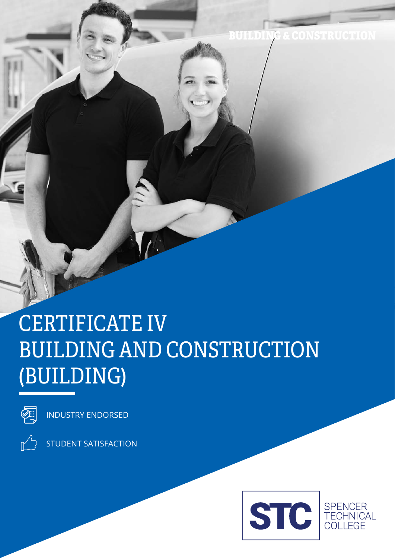### BUILDING & CONSTRUCTION

# CERTIFICATE IV BUILDING AND CONSTRUCTION (BUILDING)



INDUSTRY ENDORSED



STUDENT SATISFACTION